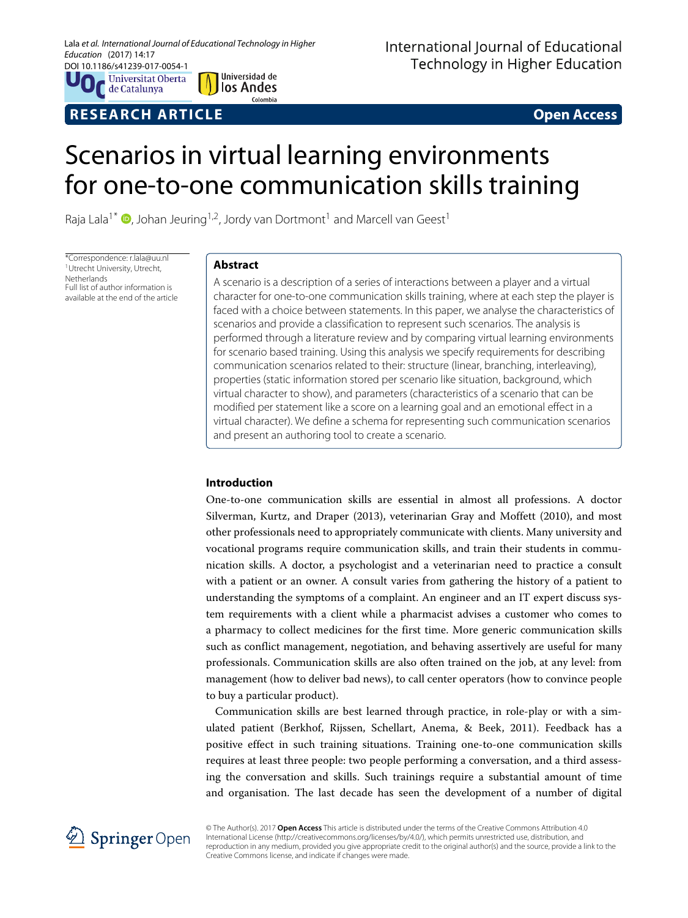Lala *et al. International Journal of Educational Technology in Higher Education* (2017) 14:17

DOI 10.1186/s41239-017-0054-1 Universidad de **Universitat Oberta** 

Colombia

llos Andes

**RESEARCH ARTICLE Open Access**

de Catalunya

# Scenarios in virtual learning environments for one-to-one communication skills training

Raja Lala<sup>1\*</sup>  $\bullet$ [,](http://orcid.org/0000-0002-7630-222X) Johan Jeuring<sup>1,2</sup>, Jordy van Dortmont<sup>1</sup> and Marcell van Geest<sup>1</sup>

\*Correspondence: [r.lala@uu.nl](mailto: r.lala@uu.nl) <sup>1</sup>Utrecht University, Utrecht, Netherlands Full list of author information is available at the end of the article

# **Abstract**

A scenario is a description of a series of interactions between a player and a virtual character for one-to-one communication skills training, where at each step the player is faced with a choice between statements. In this paper, we analyse the characteristics of scenarios and provide a classification to represent such scenarios. The analysis is performed through a literature review and by comparing virtual learning environments for scenario based training. Using this analysis we specify requirements for describing communication scenarios related to their: structure (linear, branching, interleaving), properties (static information stored per scenario like situation, background, which virtual character to show), and parameters (characteristics of a scenario that can be modified per statement like a score on a learning goal and an emotional effect in a virtual character). We define a schema for representing such communication scenarios and present an authoring tool to create a scenario.

## **Introduction**

One-to-one communication skills are essential in almost all professions. A doctor Silverman, Kurtz, and Draper [\(2013\)](#page-14-0), veterinarian Gray and Moffett [\(2010\)](#page-13-0), and most other professionals need to appropriately communicate with clients. Many university and vocational programs require communication skills, and train their students in communication skills. A doctor, a psychologist and a veterinarian need to practice a consult with a patient or an owner. A consult varies from gathering the history of a patient to understanding the symptoms of a complaint. An engineer and an IT expert discuss system requirements with a client while a pharmacist advises a customer who comes to a pharmacy to collect medicines for the first time. More generic communication skills such as conflict management, negotiation, and behaving assertively are useful for many professionals. Communication skills are also often trained on the job, at any level: from management (how to deliver bad news), to call center operators (how to convince people to buy a particular product).

Communication skills are best learned through practice, in role-play or with a simulated patient (Berkhof, Rijssen, Schellart, Anema, & Beek, [2011\)](#page-13-1). Feedback has a positive effect in such training situations. Training one-to-one communication skills requires at least three people: two people performing a conversation, and a third assessing the conversation and skills. Such trainings require a substantial amount of time and organisation. The last decade has seen the development of a number of digital



© The Author(s). 2017 **Open Access** This article is distributed under the terms of the Creative Commons Attribution 4.0 International License [\(http://creativecommons.org/licenses/by/4.0/\)](http://creativecommons.org/licenses/by/4.0/), which permits unrestricted use, distribution, and reproduction in any medium, provided you give appropriate credit to the original author(s) and the source, provide a link to the Creative Commons license, and indicate if changes were made.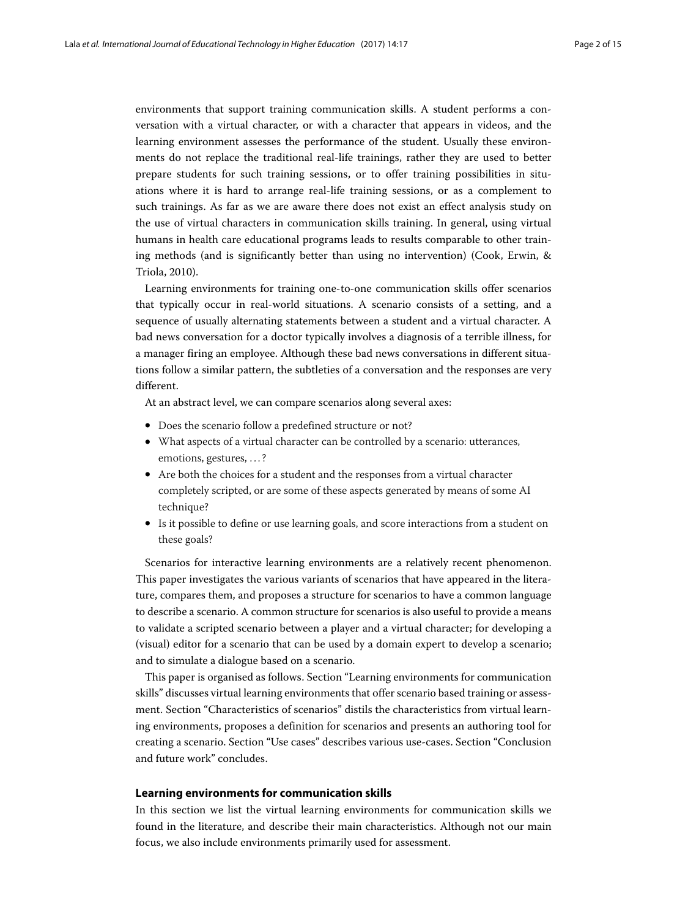environments that support training communication skills. A student performs a conversation with a virtual character, or with a character that appears in videos, and the learning environment assesses the performance of the student. Usually these environments do not replace the traditional real-life trainings, rather they are used to better prepare students for such training sessions, or to offer training possibilities in situations where it is hard to arrange real-life training sessions, or as a complement to such trainings. As far as we are aware there does not exist an effect analysis study on the use of virtual characters in communication skills training. In general, using virtual humans in health care educational programs leads to results comparable to other training methods (and is significantly better than using no intervention) (Cook, Erwin, & Triola, [2010\)](#page-13-2).

Learning environments for training one-to-one communication skills offer scenarios that typically occur in real-world situations. A scenario consists of a setting, and a sequence of usually alternating statements between a student and a virtual character. A bad news conversation for a doctor typically involves a diagnosis of a terrible illness, for a manager firing an employee. Although these bad news conversations in different situations follow a similar pattern, the subtleties of a conversation and the responses are very different.

At an abstract level, we can compare scenarios along several axes:

- Does the scenario follow a predefined structure or not?
- What aspects of a virtual character can be controlled by a scenario: utterances, emotions, gestures, . . . ?
- Are both the choices for a student and the responses from a virtual character completely scripted, or are some of these aspects generated by means of some AI technique?
- Is it possible to define or use learning goals, and score interactions from a student on these goals?

Scenarios for interactive learning environments are a relatively recent phenomenon. This paper investigates the various variants of scenarios that have appeared in the literature, compares them, and proposes a structure for scenarios to have a common language to describe a scenario. A common structure for scenarios is also useful to provide a means to validate a scripted scenario between a player and a virtual character; for developing a (visual) editor for a scenario that can be used by a domain expert to develop a scenario; and to simulate a dialogue based on a scenario.

This paper is organised as follows. Section ["Learning environments for communication](#page-1-0) [skills"](#page-1-0) discusses virtual learning environments that offer scenario based training or assessment. Section ["Characteristics of scenarios"](#page-6-0) distils the characteristics from virtual learning environments, proposes a definition for scenarios and presents an authoring tool for creating a scenario. Section ["Use cases"](#page-11-0) describes various use-cases. Section ["Conclusion](#page-12-0) [and future work"](#page-12-0) concludes.

## **Learning environments for communication skills**

<span id="page-1-0"></span>In this section we list the virtual learning environments for communication skills we found in the literature, and describe their main characteristics. Although not our main focus, we also include environments primarily used for assessment.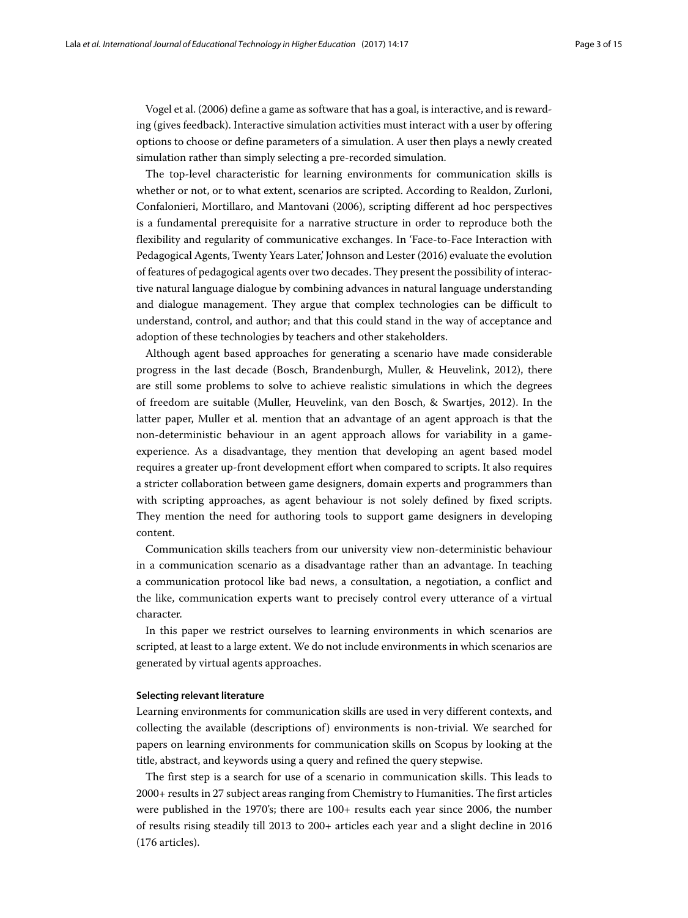Vogel et al. [\(2006\)](#page-14-1) define a game as software that has a goal, is interactive, and is rewarding (gives feedback). Interactive simulation activities must interact with a user by offering options to choose or define parameters of a simulation. A user then plays a newly created simulation rather than simply selecting a pre-recorded simulation.

The top-level characteristic for learning environments for communication skills is whether or not, or to what extent, scenarios are scripted. According to Realdon, Zurloni, Confalonieri, Mortillaro, and Mantovani [\(2006\)](#page-14-2), scripting different ad hoc perspectives is a fundamental prerequisite for a narrative structure in order to reproduce both the flexibility and regularity of communicative exchanges. In 'Face-to-Face Interaction with Pedagogical Agents, Twenty Years Later,' Johnson and Lester [\(2016\)](#page-13-3) evaluate the evolution of features of pedagogical agents over two decades. They present the possibility of interactive natural language dialogue by combining advances in natural language understanding and dialogue management. They argue that complex technologies can be difficult to understand, control, and author; and that this could stand in the way of acceptance and adoption of these technologies by teachers and other stakeholders.

Although agent based approaches for generating a scenario have made considerable progress in the last decade (Bosch, Brandenburgh, Muller, & Heuvelink, [2012\)](#page-13-4), there are still some problems to solve to achieve realistic simulations in which the degrees of freedom are suitable (Muller, Heuvelink, van den Bosch, & Swartjes, [2012\)](#page-13-5). In the latter paper, Muller et al. mention that an advantage of an agent approach is that the non-deterministic behaviour in an agent approach allows for variability in a gameexperience. As a disadvantage, they mention that developing an agent based model requires a greater up-front development effort when compared to scripts. It also requires a stricter collaboration between game designers, domain experts and programmers than with scripting approaches, as agent behaviour is not solely defined by fixed scripts. They mention the need for authoring tools to support game designers in developing content.

Communication skills teachers from our university view non-deterministic behaviour in a communication scenario as a disadvantage rather than an advantage. In teaching a communication protocol like bad news, a consultation, a negotiation, a conflict and the like, communication experts want to precisely control every utterance of a virtual character.

In this paper we restrict ourselves to learning environments in which scenarios are scripted, at least to a large extent. We do not include environments in which scenarios are generated by virtual agents approaches.

## **Selecting relevant literature**

Learning environments for communication skills are used in very different contexts, and collecting the available (descriptions of ) environments is non-trivial. We searched for papers on learning environments for communication skills on Scopus by looking at the title, abstract, and keywords using a query and refined the query stepwise.

The first step is a search for use of a scenario in communication skills. This leads to 2000+ results in 27 subject areas ranging from Chemistry to Humanities. The first articles were published in the 1970's; there are 100+ results each year since 2006, the number of results rising steadily till 2013 to 200+ articles each year and a slight decline in 2016 (176 articles).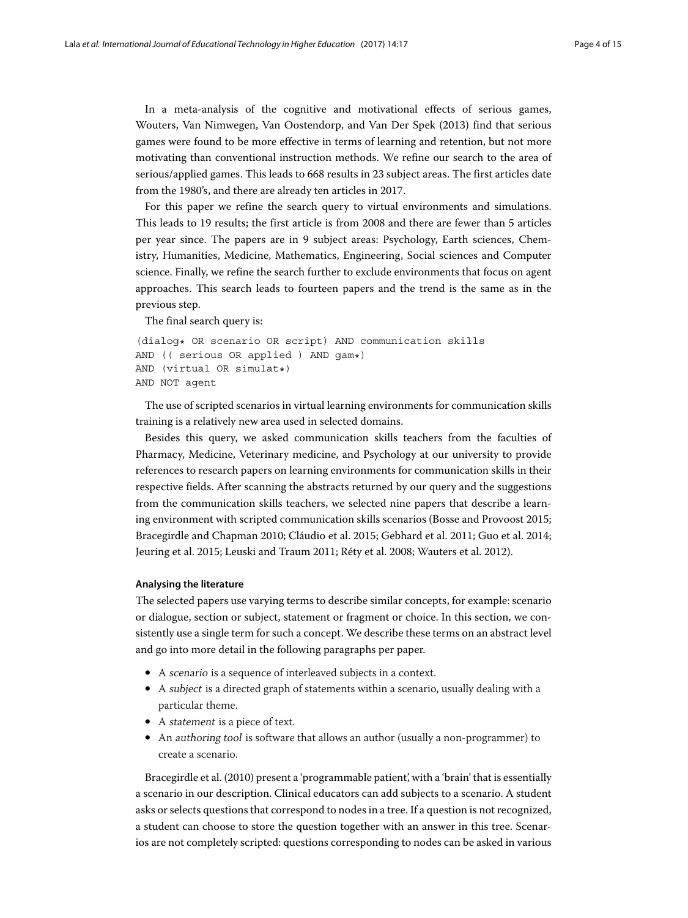In a meta-analysis of the cognitive and motivational effects of serious games, Wouters, Van Nimwegen, Van Oostendorp, and Van Der Spek [\(2013\)](#page-14-3) find that serious games were found to be more effective in terms of learning and retention, but not more motivating than conventional instruction methods. We refine our search to the area of serious/applied games. This leads to 668 results in 23 subject areas. The first articles date from the 1980's, and there are already ten articles in 2017.

For this paper we refine the search query to virtual environments and simulations. This leads to 19 results; the first article is from 2008 and there are fewer than 5 articles per year since. The papers are in 9 subject areas: Psychology, Earth sciences, Chemistry, Humanities, Medicine, Mathematics, Engineering, Social sciences and Computer science. Finally, we refine the search further to exclude environments that focus on agent approaches. This search leads to fourteen papers and the trend is the same as in the previous step.

The final search query is:

```
(dialog* OR scenario OR script) AND communication skills
AND (( serious OR applied ) AND gam*)
AND (virtual OR simulat*)
AND NOT agent
```
The use of scripted scenarios in virtual learning environments for communication skills training is a relatively new area used in selected domains.

Besides this query, we asked communication skills teachers from the faculties of Pharmacy, Medicine, Veterinary medicine, and Psychology at our university to provide references to research papers on learning environments for communication skills in their respective fields. After scanning the abstracts returned by our query and the suggestions from the communication skills teachers, we selected nine papers that describe a learning environment with scripted communication skills scenarios (Bosse and Provoost [2015;](#page-13-6) Bracegirdle and Chapman [2010;](#page-13-7) Cláudio et al. [2015;](#page-13-8) Gebhard et al. [2011;](#page-13-9) Guo et al. [2014;](#page-13-10) Jeuring et al. [2015;](#page-13-11) Leuski and Traum [2011;](#page-13-12) Réty et al. [2008;](#page-14-4) Wauters et al. [2012\)](#page-14-5).

## **Analysing the literature**

The selected papers use varying terms to describe similar concepts, for example: scenario or dialogue, section or subject, statement or fragment or choice. In this section, we consistently use a single term for such a concept. We describe these terms on an abstract level and go into more detail in the following paragraphs per paper.

- A scenario is a sequence of interleaved subjects in a context.
- A subject is a directed graph of statements within a scenario, usually dealing with a particular theme.
- A statement is a piece of text.
- An authoring tool is software that allows an author (usually a non-programmer) to create a scenario.

Bracegirdle et al. [\(2010\)](#page-13-7) present a 'programmable patient', with a 'brain' that is essentially a scenario in our description. Clinical educators can add subjects to a scenario. A student asks or selects questions that correspond to nodes in a tree. If a question is not recognized, a student can choose to store the question together with an answer in this tree. Scenarios are not completely scripted: questions corresponding to nodes can be asked in various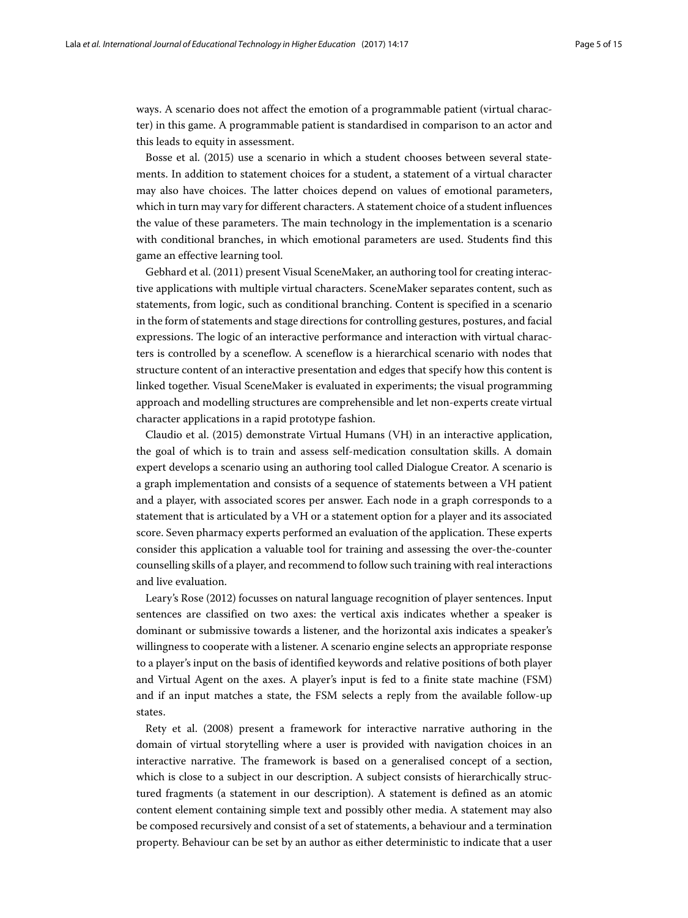ways. A scenario does not affect the emotion of a programmable patient (virtual character) in this game. A programmable patient is standardised in comparison to an actor and this leads to equity in assessment.

Bosse et al. [\(2015\)](#page-13-6) use a scenario in which a student chooses between several statements. In addition to statement choices for a student, a statement of a virtual character may also have choices. The latter choices depend on values of emotional parameters, which in turn may vary for different characters. A statement choice of a student influences the value of these parameters. The main technology in the implementation is a scenario with conditional branches, in which emotional parameters are used. Students find this game an effective learning tool.

Gebhard et al. [\(2011\)](#page-13-9) present Visual SceneMaker, an authoring tool for creating interactive applications with multiple virtual characters. SceneMaker separates content, such as statements, from logic, such as conditional branching. Content is specified in a scenario in the form of statements and stage directions for controlling gestures, postures, and facial expressions. The logic of an interactive performance and interaction with virtual characters is controlled by a sceneflow. A sceneflow is a hierarchical scenario with nodes that structure content of an interactive presentation and edges that specify how this content is linked together. Visual SceneMaker is evaluated in experiments; the visual programming approach and modelling structures are comprehensible and let non-experts create virtual character applications in a rapid prototype fashion.

Claudio et al. [\(2015\)](#page-13-8) demonstrate Virtual Humans (VH) in an interactive application, the goal of which is to train and assess self-medication consultation skills. A domain expert develops a scenario using an authoring tool called Dialogue Creator. A scenario is a graph implementation and consists of a sequence of statements between a VH patient and a player, with associated scores per answer. Each node in a graph corresponds to a statement that is articulated by a VH or a statement option for a player and its associated score. Seven pharmacy experts performed an evaluation of the application. These experts consider this application a valuable tool for training and assessing the over-the-counter counselling skills of a player, and recommend to follow such training with real interactions and live evaluation.

Leary's Rose [\(2012\)](#page-14-5) focusses on natural language recognition of player sentences. Input sentences are classified on two axes: the vertical axis indicates whether a speaker is dominant or submissive towards a listener, and the horizontal axis indicates a speaker's willingness to cooperate with a listener. A scenario engine selects an appropriate response to a player's input on the basis of identified keywords and relative positions of both player and Virtual Agent on the axes. A player's input is fed to a finite state machine (FSM) and if an input matches a state, the FSM selects a reply from the available follow-up states.

Rety et al. [\(2008\)](#page-14-4) present a framework for interactive narrative authoring in the domain of virtual storytelling where a user is provided with navigation choices in an interactive narrative. The framework is based on a generalised concept of a section, which is close to a subject in our description. A subject consists of hierarchically structured fragments (a statement in our description). A statement is defined as an atomic content element containing simple text and possibly other media. A statement may also be composed recursively and consist of a set of statements, a behaviour and a termination property. Behaviour can be set by an author as either deterministic to indicate that a user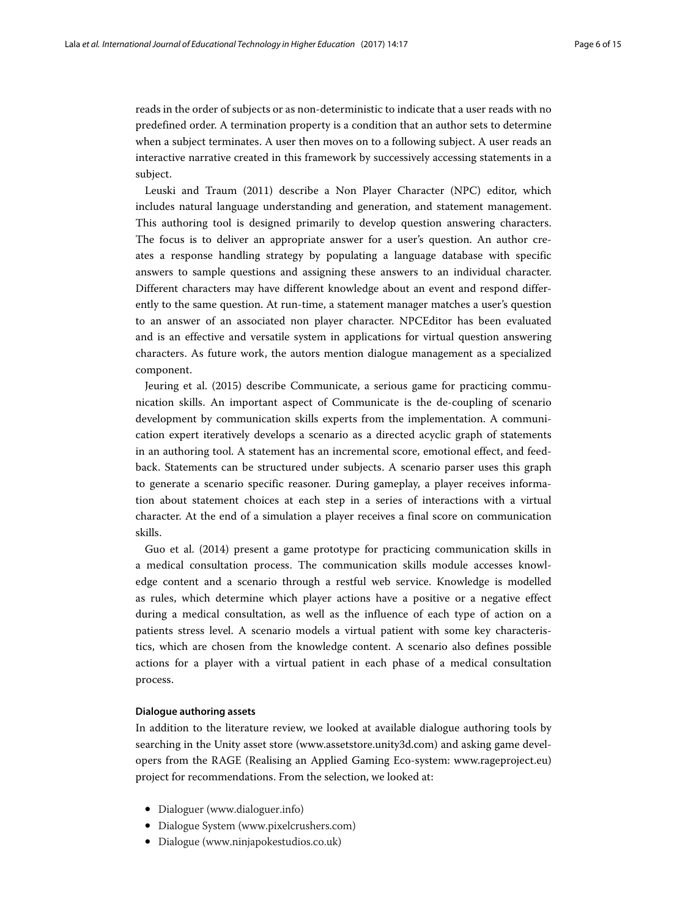reads in the order of subjects or as non-deterministic to indicate that a user reads with no predefined order. A termination property is a condition that an author sets to determine when a subject terminates. A user then moves on to a following subject. A user reads an interactive narrative created in this framework by successively accessing statements in a subject.

Leuski and Traum [\(2011\)](#page-13-12) describe a Non Player Character (NPC) editor, which includes natural language understanding and generation, and statement management. This authoring tool is designed primarily to develop question answering characters. The focus is to deliver an appropriate answer for a user's question. An author creates a response handling strategy by populating a language database with specific answers to sample questions and assigning these answers to an individual character. Different characters may have different knowledge about an event and respond differently to the same question. At run-time, a statement manager matches a user's question to an answer of an associated non player character. NPCEditor has been evaluated and is an effective and versatile system in applications for virtual question answering characters. As future work, the autors mention dialogue management as a specialized component.

Jeuring et al. [\(2015\)](#page-13-11) describe Communicate, a serious game for practicing communication skills. An important aspect of Communicate is the de-coupling of scenario development by communication skills experts from the implementation. A communication expert iteratively develops a scenario as a directed acyclic graph of statements in an authoring tool. A statement has an incremental score, emotional effect, and feedback. Statements can be structured under subjects. A scenario parser uses this graph to generate a scenario specific reasoner. During gameplay, a player receives information about statement choices at each step in a series of interactions with a virtual character. At the end of a simulation a player receives a final score on communication skills.

Guo et al. [\(2014\)](#page-13-10) present a game prototype for practicing communication skills in a medical consultation process. The communication skills module accesses knowledge content and a scenario through a restful web service. Knowledge is modelled as rules, which determine which player actions have a positive or a negative effect during a medical consultation, as well as the influence of each type of action on a patients stress level. A scenario models a virtual patient with some key characteristics, which are chosen from the knowledge content. A scenario also defines possible actions for a player with a virtual patient in each phase of a medical consultation process.

#### <span id="page-5-0"></span>**Dialogue authoring assets**

In addition to the literature review, we looked at available dialogue authoring tools by searching in the Unity asset store [\(www.assetstore.unity3d.com\)](www.assetstore.unity3d.com) and asking game developers from the RAGE (Realising an Applied Gaming Eco-system: [www.rageproject.eu\)](www.rageproject.eu) project for recommendations. From the selection, we looked at:

- Dialoguer [\(www.dialoguer.info\)](www.dialoguer.info)
- Dialogue System [\(www.pixelcrushers.com\)](www.pixelcrushers.com)
- Dialogue [\(www.ninjapokestudios.co.uk\)](www.ninjapokestudios.co.uk)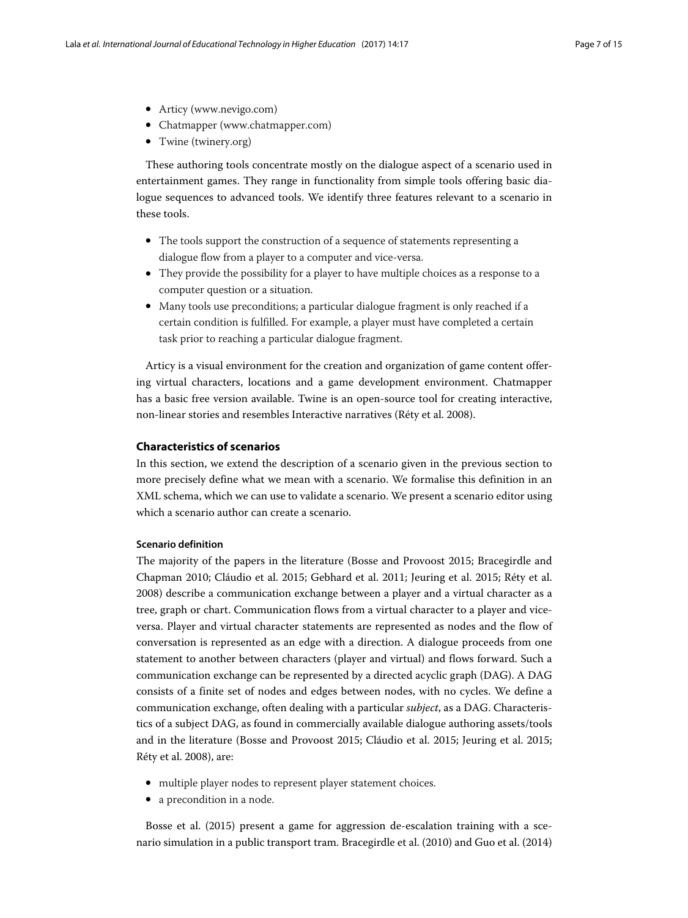- Articy [\(www.nevigo.com\)](www.nevigo.com)
- Chatmapper [\(www.chatmapper.com\)](www.chatmapper.com)
- Twine [\(twinery.org\)](http://twinery.org)

These authoring tools concentrate mostly on the dialogue aspect of a scenario used in entertainment games. They range in functionality from simple tools offering basic dialogue sequences to advanced tools. We identify three features relevant to a scenario in these tools.

- The tools support the construction of a sequence of statements representing a dialogue flow from a player to a computer and vice-versa.
- They provide the possibility for a player to have multiple choices as a response to a computer question or a situation.
- Many tools use preconditions; a particular dialogue fragment is only reached if a certain condition is fulfilled. For example, a player must have completed a certain task prior to reaching a particular dialogue fragment.

Articy is a visual environment for the creation and organization of game content offering virtual characters, locations and a game development environment. Chatmapper has a basic free version available. Twine is an open-source tool for creating interactive, non-linear stories and resembles Interactive narratives (Réty et al. [2008\)](#page-14-4).

## <span id="page-6-0"></span>**Characteristics of scenarios**

In this section, we extend the description of a scenario given in the previous section to more precisely define what we mean with a scenario. We formalise this definition in an XML schema, which we can use to validate a scenario. We present a scenario editor using which a scenario author can create a scenario.

## **Scenario definition**

The majority of the papers in the literature (Bosse and Provoost [2015;](#page-13-6) Bracegirdle and Chapman [2010;](#page-13-7) Cláudio et al. [2015;](#page-13-8) Gebhard et al. [2011;](#page-13-9) Jeuring et al. [2015;](#page-13-11) Réty et al. [2008\)](#page-14-4) describe a communication exchange between a player and a virtual character as a tree, graph or chart. Communication flows from a virtual character to a player and viceversa. Player and virtual character statements are represented as nodes and the flow of conversation is represented as an edge with a direction. A dialogue proceeds from one statement to another between characters (player and virtual) and flows forward. Such a communication exchange can be represented by a directed acyclic graph (DAG). A DAG consists of a finite set of nodes and edges between nodes, with no cycles. We define a communication exchange, often dealing with a particular *subject*, as a DAG. Characteristics of a subject DAG, as found in commercially available dialogue authoring assets/tools and in the literature (Bosse and Provoost [2015;](#page-13-6) Cláudio et al. [2015;](#page-13-8) Jeuring et al. [2015;](#page-13-11) Réty et al. [2008\)](#page-14-4), are:

- multiple player nodes to represent player statement choices.
- a precondition in a node.

Bosse et al. [\(2015\)](#page-13-6) present a game for aggression de-escalation training with a scenario simulation in a public transport tram. Bracegirdle et al. [\(2010\)](#page-13-7) and Guo et al. [\(2014\)](#page-13-10)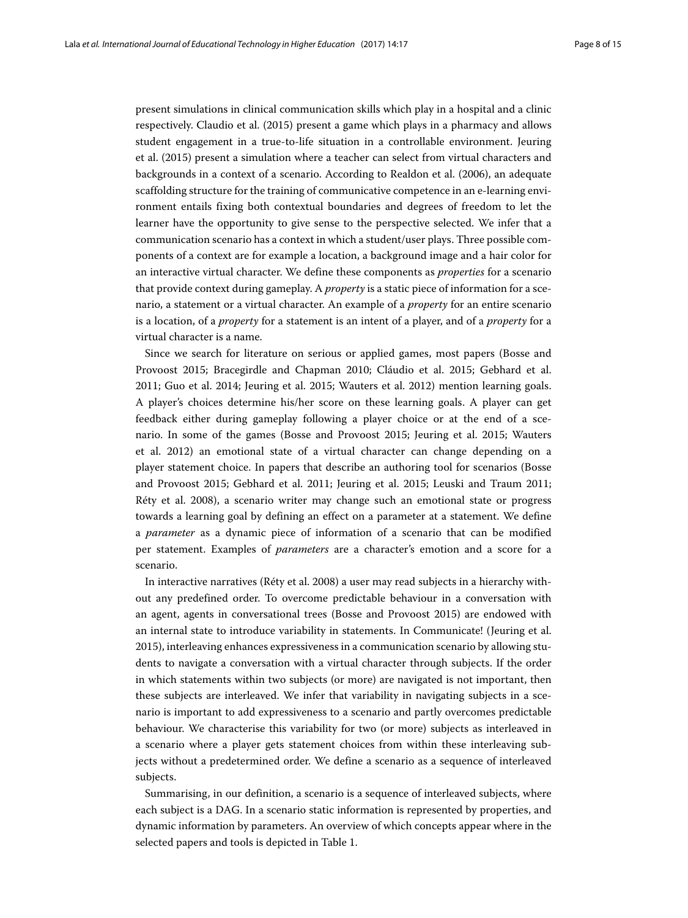present simulations in clinical communication skills which play in a hospital and a clinic respectively. Claudio et al. [\(2015\)](#page-13-8) present a game which plays in a pharmacy and allows student engagement in a true-to-life situation in a controllable environment. Jeuring et al. [\(2015\)](#page-13-11) present a simulation where a teacher can select from virtual characters and backgrounds in a context of a scenario. According to Realdon et al. [\(2006\)](#page-14-2), an adequate scaffolding structure for the training of communicative competence in an e-learning environment entails fixing both contextual boundaries and degrees of freedom to let the learner have the opportunity to give sense to the perspective selected. We infer that a communication scenario has a context in which a student/user plays. Three possible components of a context are for example a location, a background image and a hair color for an interactive virtual character. We define these components as *properties* for a scenario that provide context during gameplay. A *property* is a static piece of information for a scenario, a statement or a virtual character. An example of a *property* for an entire scenario is a location, of a *property* for a statement is an intent of a player, and of a *property* for a virtual character is a name.

Since we search for literature on serious or applied games, most papers (Bosse and Provoost [2015;](#page-13-6) Bracegirdle and Chapman [2010;](#page-13-7) Cláudio et al. [2015;](#page-13-8) Gebhard et al. [2011;](#page-13-9) Guo et al. [2014;](#page-13-10) Jeuring et al. [2015;](#page-13-11) Wauters et al. [2012\)](#page-14-5) mention learning goals. A player's choices determine his/her score on these learning goals. A player can get feedback either during gameplay following a player choice or at the end of a scenario. In some of the games (Bosse and Provoost [2015;](#page-13-6) Jeuring et al. [2015;](#page-13-11) Wauters et al. [2012\)](#page-14-5) an emotional state of a virtual character can change depending on a player statement choice. In papers that describe an authoring tool for scenarios (Bosse and Provoost [2015;](#page-13-6) Gebhard et al. [2011;](#page-13-9) Jeuring et al. [2015;](#page-13-11) Leuski and Traum [2011;](#page-13-12) Réty et al. [2008\)](#page-14-4), a scenario writer may change such an emotional state or progress towards a learning goal by defining an effect on a parameter at a statement. We define a *parameter* as a dynamic piece of information of a scenario that can be modified per statement. Examples of *parameters* are a character's emotion and a score for a scenario.

In interactive narratives (Réty et al. [2008\)](#page-14-4) a user may read subjects in a hierarchy without any predefined order. To overcome predictable behaviour in a conversation with an agent, agents in conversational trees (Bosse and Provoost [2015\)](#page-13-6) are endowed with an internal state to introduce variability in statements. In Communicate! (Jeuring et al. [2015\)](#page-13-11), interleaving enhances expressiveness in a communication scenario by allowing students to navigate a conversation with a virtual character through subjects. If the order in which statements within two subjects (or more) are navigated is not important, then these subjects are interleaved. We infer that variability in navigating subjects in a scenario is important to add expressiveness to a scenario and partly overcomes predictable behaviour. We characterise this variability for two (or more) subjects as interleaved in a scenario where a player gets statement choices from within these interleaving subjects without a predetermined order. We define a scenario as a sequence of interleaved subjects.

Summarising, in our definition, a scenario is a sequence of interleaved subjects, where each subject is a DAG. In a scenario static information is represented by properties, and dynamic information by parameters. An overview of which concepts appear where in the selected papers and tools is depicted in Table [1.](#page-8-0)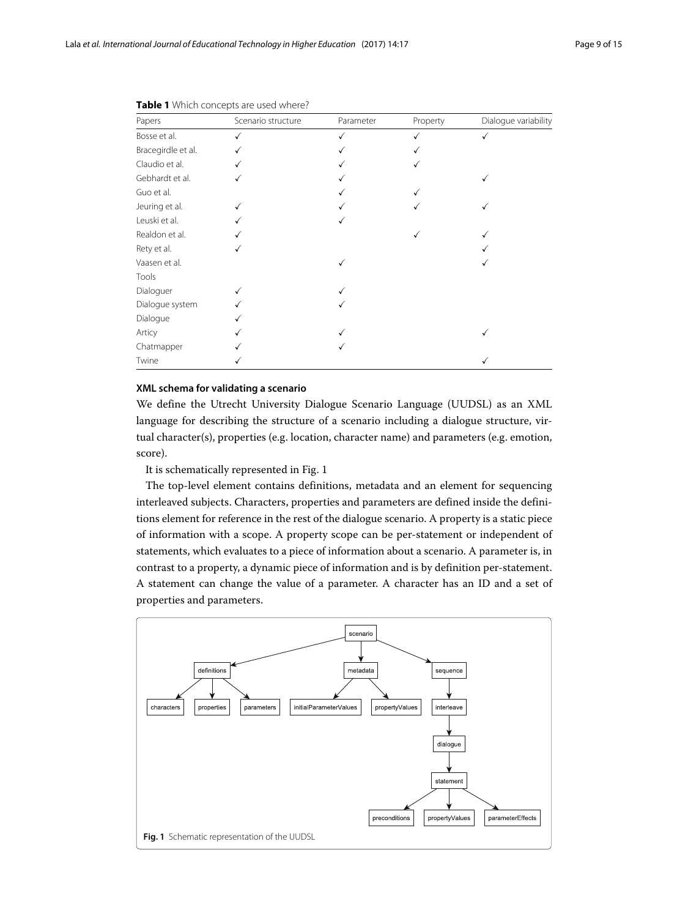| Papers             | Scenario structure | Parameter | Property | Dialogue variability |  |
|--------------------|--------------------|-----------|----------|----------------------|--|
| Bosse et al.       | ✓                  |           | √        | √                    |  |
| Bracegirdle et al. | ✓                  |           |          |                      |  |
| Claudio et al.     | ✓                  |           |          |                      |  |
| Gebhardt et al.    | ✓                  |           |          | ✓                    |  |
| Guo et al.         |                    |           |          |                      |  |
| Jeuring et al.     | ✓                  |           |          | √                    |  |
| Leuski et al.      |                    |           |          |                      |  |
| Realdon et al.     |                    |           | √        | √                    |  |
| Rety et al.        | ✓                  |           |          |                      |  |
| Vaasen et al.      |                    | ✓         |          |                      |  |
| Tools              |                    |           |          |                      |  |
| Dialoguer          | √                  |           |          |                      |  |
| Dialogue system    |                    |           |          |                      |  |
| Dialogue           |                    |           |          |                      |  |
| Articy             | ✓                  |           |          | √                    |  |
| Chatmapper         | ✓                  |           |          |                      |  |
| Twine              |                    |           |          |                      |  |

<span id="page-8-0"></span>**Table 1** Which concepts are used where?

## **XML schema for validating a scenario**

We define the Utrecht University Dialogue Scenario Language (UUDSL) as an XML language for describing the structure of a scenario including a dialogue structure, virtual character(s), properties (e.g. location, character name) and parameters (e.g. emotion, score).

It is schematically represented in Fig. [1](#page-8-1)

The top-level element contains definitions, metadata and an element for sequencing interleaved subjects. Characters, properties and parameters are defined inside the definitions element for reference in the rest of the dialogue scenario. A property is a static piece of information with a scope. A property scope can be per-statement or independent of statements, which evaluates to a piece of information about a scenario. A parameter is, in contrast to a property, a dynamic piece of information and is by definition per-statement. A statement can change the value of a parameter. A character has an ID and a set of properties and parameters.

<span id="page-8-1"></span>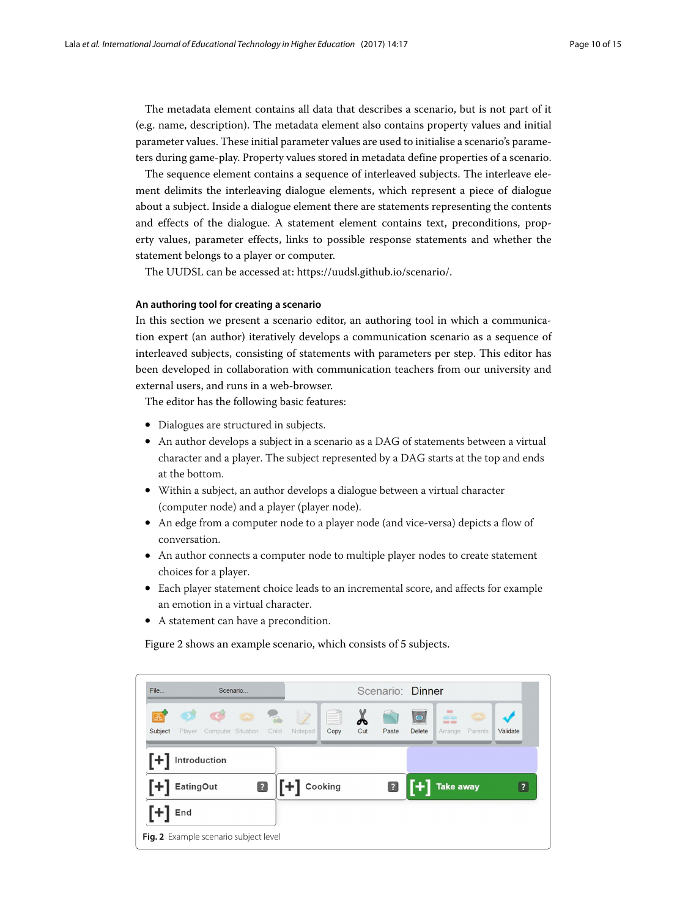The metadata element contains all data that describes a scenario, but is not part of it (e.g. name, description). The metadata element also contains property values and initial parameter values. These initial parameter values are used to initialise a scenario's parameters during game-play. Property values stored in metadata define properties of a scenario.

The sequence element contains a sequence of interleaved subjects. The interleave element delimits the interleaving dialogue elements, which represent a piece of dialogue about a subject. Inside a dialogue element there are statements representing the contents and effects of the dialogue. A statement element contains text, preconditions, property values, parameter effects, links to possible response statements and whether the statement belongs to a player or computer.

The UUDSL can be accessed at: [https://uudsl.github.io/scenario/.](https://uudsl.github.io/scenario/)

## **An authoring tool for creating a scenario**

In this section we present a scenario editor, an authoring tool in which a communication expert (an author) iteratively develops a communication scenario as a sequence of interleaved subjects, consisting of statements with parameters per step. This editor has been developed in collaboration with communication teachers from our university and external users, and runs in a web-browser.

The editor has the following basic features:

- Dialogues are structured in subjects.
- An author develops a subject in a scenario as a DAG of statements between a virtual character and a player. The subject represented by a DAG starts at the top and ends at the bottom.
- Within a subject, an author develops a dialogue between a virtual character (computer node) and a player (player node).
- An edge from a computer node to a player node (and vice-versa) depicts a flow of conversation.
- An author connects a computer node to multiple player nodes to create statement choices for a player.
- Each player statement choice leads to an incremental score, and affects for example an emotion in a virtual character.
- A statement can have a precondition.

Figure [2](#page-9-0) shows an example scenario, which consists of 5 subjects.

<span id="page-9-0"></span>

| File                     | Scenario     |                                       |                        | Scenario: Dinner |         |           |     |                  |               |                                  |         |          |
|--------------------------|--------------|---------------------------------------|------------------------|------------------|---------|-----------|-----|------------------|---------------|----------------------------------|---------|----------|
| Subject                  | Player       | Computer Situation                    |                        | $\sim$<br>Child  | Notepad | ≡<br>Copy | Cut | Paste            | <b>Delete</b> | J.<br><b>MAN DIAK</b><br>Arrange | Parents | Validate |
|                          | Introduction |                                       |                        |                  |         |           |     |                  |               |                                  |         |          |
| EatingOut<br>$\boxed{?}$ |              |                                       | Cooking<br>$\boxed{?}$ |                  |         |           |     | <b>Take away</b> |               | $\vert$ ?                        |         |          |
|                          | End          |                                       |                        |                  |         |           |     |                  |               |                                  |         |          |
|                          |              | Fig. 2 Example scenario subject level |                        |                  |         |           |     |                  |               |                                  |         |          |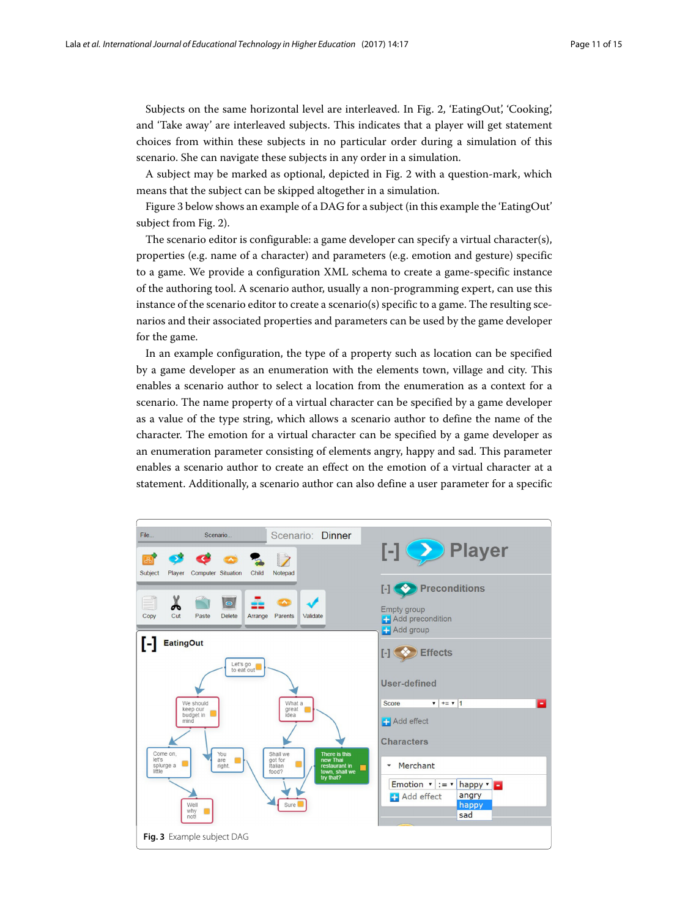Subjects on the same horizontal level are interleaved. In Fig. [2,](#page-9-0) 'EatingOut', 'Cooking', and 'Take away' are interleaved subjects. This indicates that a player will get statement choices from within these subjects in no particular order during a simulation of this scenario. She can navigate these subjects in any order in a simulation.

A subject may be marked as optional, depicted in Fig. [2](#page-9-0) with a question-mark, which means that the subject can be skipped altogether in a simulation.

Figure [3](#page-10-0) below shows an example of a DAG for a subject (in this example the 'EatingOut' subject from Fig. [2\)](#page-9-0).

The scenario editor is configurable: a game developer can specify a virtual character(s), properties (e.g. name of a character) and parameters (e.g. emotion and gesture) specific to a game. We provide a configuration XML schema to create a game-specific instance of the authoring tool. A scenario author, usually a non-programming expert, can use this instance of the scenario editor to create a scenario(s) specific to a game. The resulting scenarios and their associated properties and parameters can be used by the game developer for the game.

In an example configuration, the type of a property such as location can be specified by a game developer as an enumeration with the elements town, village and city. This enables a scenario author to select a location from the enumeration as a context for a scenario. The name property of a virtual character can be specified by a game developer as a value of the type string, which allows a scenario author to define the name of the character. The emotion for a virtual character can be specified by a game developer as an enumeration parameter consisting of elements angry, happy and sad. This parameter enables a scenario author to create an effect on the emotion of a virtual character at a statement. Additionally, a scenario author can also define a user parameter for a specific

<span id="page-10-0"></span>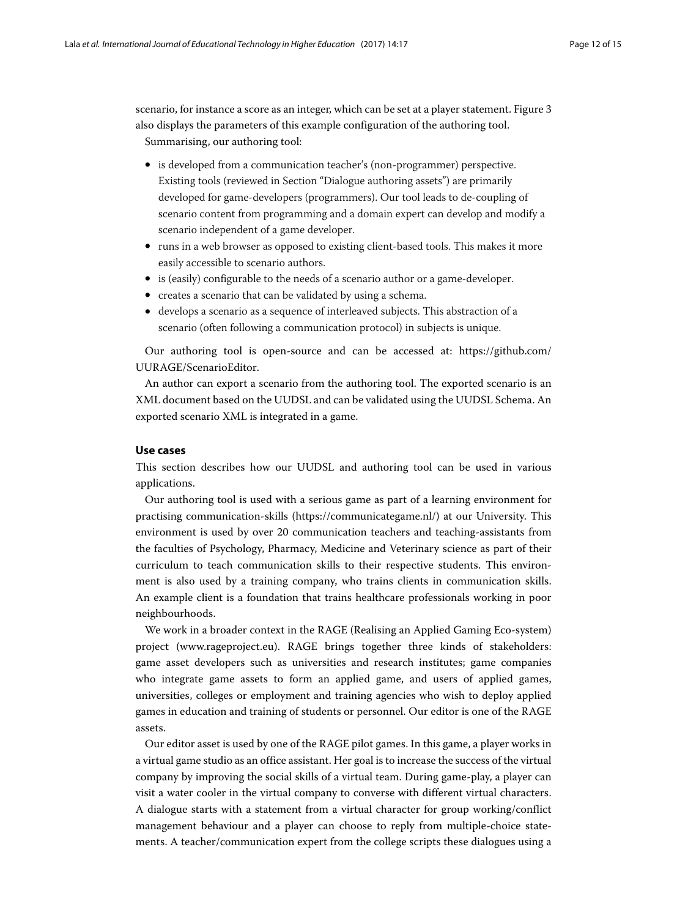scenario, for instance a score as an integer, which can be set at a player statement. Figure [3](#page-10-0) also displays the parameters of this example configuration of the authoring tool. Summarising, our authoring tool:

- is developed from a communication teacher's (non-programmer) perspective. Existing tools (reviewed in Section ["Dialogue authoring assets"](#page-5-0)) are primarily developed for game-developers (programmers). Our tool leads to de-coupling of scenario content from programming and a domain expert can develop and modify a scenario independent of a game developer.
- runs in a web browser as opposed to existing client-based tools. This makes it more easily accessible to scenario authors.
- is (easily) configurable to the needs of a scenario author or a game-developer.
- creates a scenario that can be validated by using a schema.
- develops a scenario as a sequence of interleaved subjects. This abstraction of a scenario (often following a communication protocol) in subjects is unique.

Our authoring tool is open-source and can be accessed at: [https://github.com/](https://github.com/UURAGE/ScenarioEditor) [UURAGE/ScenarioEditor.](https://github.com/UURAGE/ScenarioEditor)

An author can export a scenario from the authoring tool. The exported scenario is an XML document based on the UUDSL and can be validated using the UUDSL Schema. An exported scenario XML is integrated in a game.

## <span id="page-11-0"></span>**Use cases**

This section describes how our UUDSL and authoring tool can be used in various applications.

Our authoring tool is used with a serious game as part of a learning environment for practising communication-skills [\(https://communicategame.nl/\)](https://communicategame.nl/) at our University. This environment is used by over 20 communication teachers and teaching-assistants from the faculties of Psychology, Pharmacy, Medicine and Veterinary science as part of their curriculum to teach communication skills to their respective students. This environment is also used by a training company, who trains clients in communication skills. An example client is a foundation that trains healthcare professionals working in poor neighbourhoods.

We work in a broader context in the RAGE (Realising an Applied Gaming Eco-system) project [\(www.rageproject.eu\)](www.rageproject.eu). RAGE brings together three kinds of stakeholders: game asset developers such as universities and research institutes; game companies who integrate game assets to form an applied game, and users of applied games, universities, colleges or employment and training agencies who wish to deploy applied games in education and training of students or personnel. Our editor is one of the RAGE assets.

Our editor asset is used by one of the RAGE pilot games. In this game, a player works in a virtual game studio as an office assistant. Her goal is to increase the success of the virtual company by improving the social skills of a virtual team. During game-play, a player can visit a water cooler in the virtual company to converse with different virtual characters. A dialogue starts with a statement from a virtual character for group working/conflict management behaviour and a player can choose to reply from multiple-choice statements. A teacher/communication expert from the college scripts these dialogues using a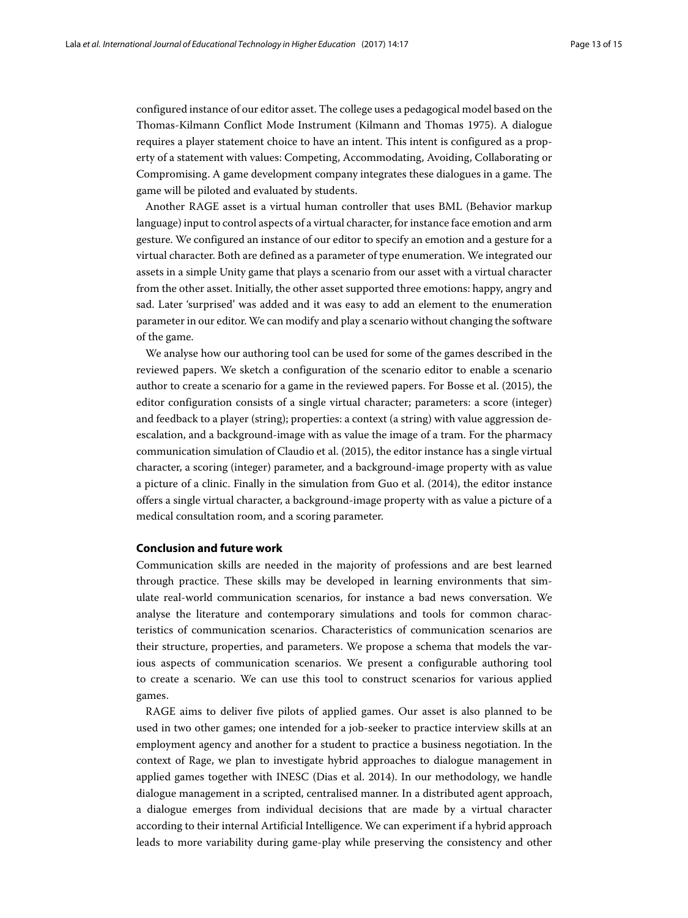configured instance of our editor asset. The college uses a pedagogical model based on the Thomas-Kilmann Conflict Mode Instrument (Kilmann and Thomas [1975\)](#page-13-13). A dialogue requires a player statement choice to have an intent. This intent is configured as a property of a statement with values: Competing, Accommodating, Avoiding, Collaborating or Compromising. A game development company integrates these dialogues in a game. The game will be piloted and evaluated by students.

Another RAGE asset is a virtual human controller that uses BML (Behavior markup language) input to control aspects of a virtual character, for instance face emotion and arm gesture. We configured an instance of our editor to specify an emotion and a gesture for a virtual character. Both are defined as a parameter of type enumeration. We integrated our assets in a simple Unity game that plays a scenario from our asset with a virtual character from the other asset. Initially, the other asset supported three emotions: happy, angry and sad. Later 'surprised' was added and it was easy to add an element to the enumeration parameter in our editor. We can modify and play a scenario without changing the software of the game.

We analyse how our authoring tool can be used for some of the games described in the reviewed papers. We sketch a configuration of the scenario editor to enable a scenario author to create a scenario for a game in the reviewed papers. For Bosse et al. [\(2015\)](#page-13-6), the editor configuration consists of a single virtual character; parameters: a score (integer) and feedback to a player (string); properties: a context (a string) with value aggression deescalation, and a background-image with as value the image of a tram. For the pharmacy communication simulation of Claudio et al. [\(2015\)](#page-13-8), the editor instance has a single virtual character, a scoring (integer) parameter, and a background-image property with as value a picture of a clinic. Finally in the simulation from Guo et al. [\(2014\)](#page-13-10), the editor instance offers a single virtual character, a background-image property with as value a picture of a medical consultation room, and a scoring parameter.

## **Conclusion and future work**

<span id="page-12-0"></span>Communication skills are needed in the majority of professions and are best learned through practice. These skills may be developed in learning environments that simulate real-world communication scenarios, for instance a bad news conversation. We analyse the literature and contemporary simulations and tools for common characteristics of communication scenarios. Characteristics of communication scenarios are their structure, properties, and parameters. We propose a schema that models the various aspects of communication scenarios. We present a configurable authoring tool to create a scenario. We can use this tool to construct scenarios for various applied games.

RAGE aims to deliver five pilots of applied games. Our asset is also planned to be used in two other games; one intended for a job-seeker to practice interview skills at an employment agency and another for a student to practice a business negotiation. In the context of Rage, we plan to investigate hybrid approaches to dialogue management in applied games together with INESC (Dias et al. [2014\)](#page-13-14). In our methodology, we handle dialogue management in a scripted, centralised manner. In a distributed agent approach, a dialogue emerges from individual decisions that are made by a virtual character according to their internal Artificial Intelligence. We can experiment if a hybrid approach leads to more variability during game-play while preserving the consistency and other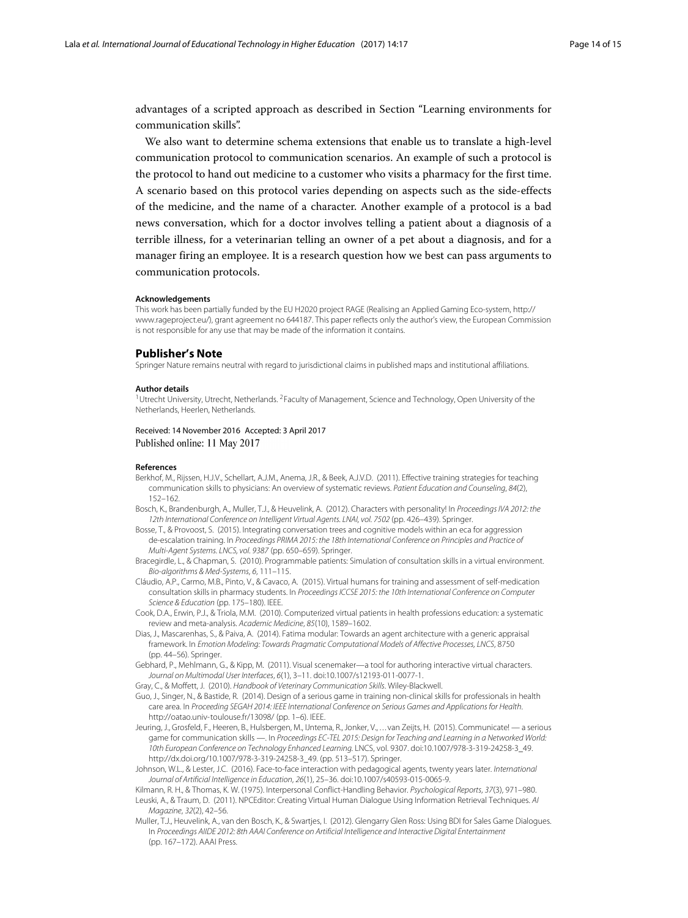advantages of a scripted approach as described in Section ["Learning environments for](#page-1-0) [communication skills"](#page-1-0).

We also want to determine schema extensions that enable us to translate a high-level communication protocol to communication scenarios. An example of such a protocol is the protocol to hand out medicine to a customer who visits a pharmacy for the first time. A scenario based on this protocol varies depending on aspects such as the side-effects of the medicine, and the name of a character. Another example of a protocol is a bad news conversation, which for a doctor involves telling a patient about a diagnosis of a terrible illness, for a veterinarian telling an owner of a pet about a diagnosis, and for a manager firing an employee. It is a research question how we best can pass arguments to communication protocols.

#### **Acknowledgements**

This work has been partially funded by the EU H2020 project RAGE (Realising an Applied Gaming Eco-system, [http://](http://www.rageproject.eu/) [www.rageproject.eu/\)](http://www.rageproject.eu/), grant agreement no 644187. This paper reflects only the author's view, the European Commission is not responsible for any use that may be made of the information it contains.

#### **Publisher's Note**

Springer Nature remains neutral with regard to jurisdictional claims in published maps and institutional affiliations.

#### **Author details**

<sup>1</sup> Utrecht University, Utrecht, Netherlands. <sup>2</sup>Faculty of Management, Science and Technology, Open University of the Netherlands, Heerlen, Netherlands.

#### Received: 14 November 2016 Accepted: 3 April 2017 Published online: 11 May 2017

#### **References**

- <span id="page-13-1"></span>Berkhof, M., Rijssen, H.J.V., Schellart, A.J.M., Anema, J.R., & Beek, A.J.V.D. (2011). Effective training strategies for teaching communication skills to physicians: An overview of systematic reviews. Patient Education and Counseling, 84(2), 152–162.
- <span id="page-13-4"></span>Bosch, K., Brandenburgh, A., Muller, T.J., & Heuvelink, A. (2012). Characters with personality! In Proceedings IVA 2012: the 12th International Conference on Intelligent Virtual Agents. LNAI, vol. 7502 (pp. 426–439). Springer.
- <span id="page-13-6"></span>Bosse, T., & Provoost, S. (2015). Integrating conversation trees and cognitive models within an eca for aggression de-escalation training. In Proceedings PRIMA 2015: the 18th International Conference on Principles and Practice of Multi-Agent Systems. LNCS, vol. 9387 (pp. 650–659). Springer.
- <span id="page-13-7"></span>Bracegirdle, L., & Chapman, S. (2010). Programmable patients: Simulation of consultation skills in a virtual environment. Bio-algorithms & Med-Systems, 6, 111–115.
- <span id="page-13-8"></span>Cláudio, A.P., Carmo, M.B., Pinto, V., & Cavaco, A. (2015). Virtual humans for training and assessment of self-medication consultation skills in pharmacy students. In Proceedings ICCSE 2015: the 10th International Conference on Computer Science & Education (pp. 175–180). IEEE.
- <span id="page-13-2"></span>Cook, D.A., Erwin, P.J., & Triola, M.M. (2010). Computerized virtual patients in health professions education: a systematic review and meta-analysis. Academic Medicine, 85(10), 1589–1602.
- <span id="page-13-14"></span>Dias, J., Mascarenhas, S., & Paiva, A. (2014). Fatima modular: Towards an agent architecture with a generic appraisal framework. In Emotion Modeling: Towards Pragmatic Computational Models of Affective Processes, LNCS, 8750 (pp. 44–56). Springer.
- <span id="page-13-9"></span>Gebhard, P., Mehlmann, G., & Kipp, M. (2011). Visual scenemaker—a tool for authoring interactive virtual characters. Journal on Multimodal User Interfaces, 6(1), 3–11. doi[:10.1007/s12193-011-0077-1.](http://dx.doi.org/10.1007/s12193-011-0077-1)
- <span id="page-13-0"></span>Gray, C., & Moffett, J. (2010). Handbook of Veterinary Communication Skills. Wiley-Blackwell.
- <span id="page-13-10"></span>Guo, J., Singer, N., & Bastide, R. (2014). Design of a serious game in training non-clinical skills for professionals in health care area. In Proceeding SEGAH 2014: IEEE International Conference on Serious Games and Applications for Health. <http://oatao.univ-toulouse.fr/13098/> (pp. 1–6). IEEE.
- <span id="page-13-11"></span>Jeuring, J., Grosfeld, F., Heeren, B., Hulsbergen, M., IJntema, R., Jonker, V., . . . van Zeijts, H. (2015). Communicate! — a serious game for communication skills —. In Proceedings EC-TEL 2015: Design for Teaching and Learning in a Networked World: 10th European Conference on Technology Enhanced Learning. LNCS, vol. 9307. do[i:10.1007/978-3-319-24258-3\\_49.](http://dx.doi.org/10.1007/978-3-319-24258-3_49) http://dx.doi.org/10.1007/978-3-319-24258-3\_49. (pp. 513–517). Springer.
- <span id="page-13-3"></span>Johnson, W.L., & Lester, J.C. (2016). Face-to-face interaction with pedagogical agents, twenty years later. International Journal of Artificial Intelligence in Education, 26(1), 25–36. doi[:10.1007/s40593-015-0065-9.](http://dx.doi.org/10.1007/s40593-015-0065-9)
- <span id="page-13-13"></span><span id="page-13-12"></span>Kilmann, R. H., & Thomas, K. W. (1975). Interpersonal Conflict-Handling Behavior. Psychological Reports, 37(3), 971–980. Leuski, A., & Traum, D. (2011). NPCEditor: Creating Virtual Human Dialogue Using Information Retrieval Techniques. AI Magazine, 32(2), 42–56.
- <span id="page-13-5"></span>Muller, T.J., Heuvelink, A., van den Bosch, K., & Swartjes, I. (2012). Glengarry Glen Ross: Using BDI for Sales Game Dialogues. In Proceedings AIIDE 2012: 8th AAAI Conference on Artificial Intelligence and Interactive Digital Entertainment (pp. 167–172). AAAI Press.